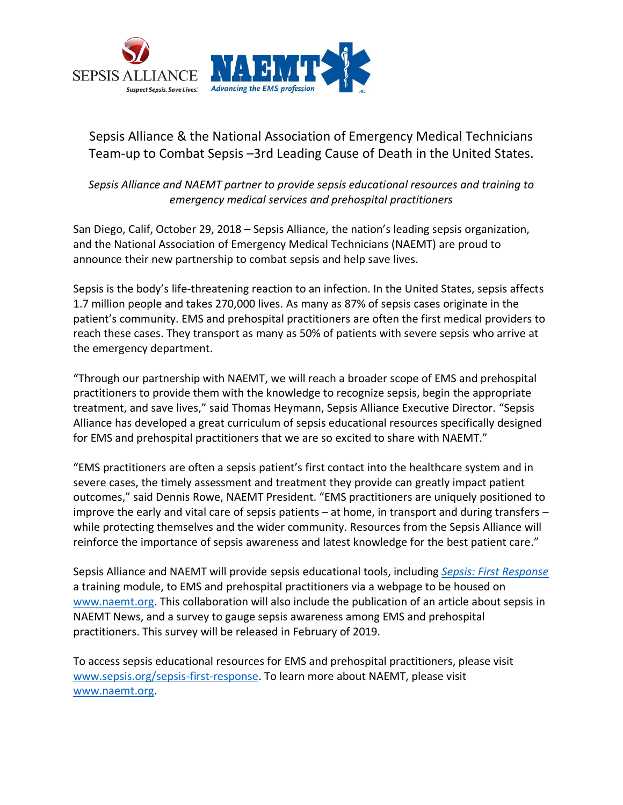

## Sepsis Alliance & the National Association of Emergency Medical Technicians Team-up to Combat Sepsis –3rd Leading Cause of Death in the United States.

*Sepsis Alliance and NAEMT partner to provide sepsis educational resources and training to emergency medical services and prehospital practitioners*

San Diego, Calif, October 29, 2018 – Sepsis Alliance, the nation's leading sepsis organization, and the National Association of Emergency Medical Technicians (NAEMT) are proud to announce their new partnership to combat sepsis and help save lives.

Sepsis is the body's life-threatening reaction to an infection. In the United States, sepsis affects 1.7 million people and takes 270,000 lives. As many as 87% of sepsis cases originate in the patient's community. EMS and prehospital practitioners are often the first medical providers to reach these cases. They transport as many as 50% of patients with severe sepsis who arrive at the emergency department.

"Through our partnership with NAEMT, we will reach a broader scope of EMS and prehospital practitioners to provide them with the knowledge to recognize sepsis, begin the appropriate treatment, and save lives," said Thomas Heymann, Sepsis Alliance Executive Director. "Sepsis Alliance has developed a great curriculum of sepsis educational resources specifically designed for EMS and prehospital practitioners that we are so excited to share with NAEMT."

"EMS practitioners are often a sepsis patient's first contact into the healthcare system and in severe cases, the timely assessment and treatment they provide can greatly impact patient outcomes," said Dennis Rowe, NAEMT President. "EMS practitioners are uniquely positioned to improve the early and vital care of sepsis patients – at home, in transport and during transfers – while protecting themselves and the wider community. Resources from the Sepsis Alliance will reinforce the importance of sepsis awareness and latest knowledge for the best patient care."

Sepsis Alliance and NAEMT will provide sepsis educational tools, including *[Sepsis: First Response](https://www.sepsis.org/sepsis-first-response/)* a training module, to EMS and prehospital practitioners via a webpage to be housed on [www.naemt.org.](http://www.naemt.org/) This collaboration will also include the publication of an article about sepsis in NAEMT News, and a survey to gauge sepsis awareness among EMS and prehospital practitioners. This survey will be released in February of 2019.

To access sepsis educational resources for EMS and prehospital practitioners, please visit [www.sepsis.org/sepsis-first-response.](https://www.sepsis.org/sepsis-first-response/) To learn more about NAEMT, please visit [www.naemt.org.](http://www.naemt.org/)